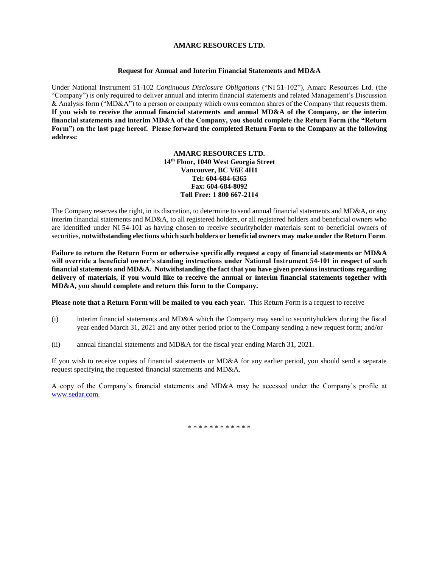## **AMARC RESOURCES LTD.**

## **Request for Annual and Interim Financial Statements and MD&A**

Under National Instrument 51-102 *Continuous Disclosure Obligations* ("NI 51-102"), Amarc Resources Ltd. (the "Company") is only required to deliver annual and interim financial statements and related Management's Discussion & Analysis form ("MD&A") to a person or company which owns common shares of the Company that requests them. **If you wish to receive the annual financial statements and annual MD&A of the Company, or the interim financial statements and interim MD&A of the Company, you should complete the Return Form (the "Return Form") on the last page hereof. Please forward the completed Return Form to the Company at the following address:**

> **AMARC RESOURCES LTD. 14th Floor, 1040 West Georgia Street Vancouver, BC V6E 4H1 Tel: 604-684-6365 Fax: 604-684-8092 Toll Free: 1 800 667-2114**

The Company reserves the right, in its discretion, to determine to send annual financial statements and MD&A, or any interim financial statements and MD&A, to all registered holders, or all registered holders and beneficial owners who are identified under NI 54-101 as having chosen to receive securityholder materials sent to beneficial owners of securities, **notwithstanding elections which such holders or beneficial owners may make under the Return Form**.

**Failure to return the Return Form or otherwise specifically request a copy of financial statements or MD&A will override a beneficial owner's standing instructions under National Instrument 54**-**101 in respect of such financial statements and MD&A. Notwithstanding the fact that you have given previous instructions regarding delivery of materials, if you would like to receive the annual or interim financial statements together with MD&A, you should complete and return this form to the Company.**

**Please note that a Return Form will be mailed to you each year.** This Return Form is a request to receive

- (i) interim financial statements and MD&A which the Company may send to securityholders during the fiscal year ended March 31, 2021 and any other period prior to the Company sending a new request form; and/or
- (ii) annual financial statements and MD&A for the fiscal year ending March 31, 2021.

If you wish to receive copies of financial statements or MD&A for any earlier period, you should send a separate request specifying the requested financial statements and MD&A.

A copy of the Company's financial statements and MD&A may be accessed under the Company's profile at [www.sedar.com.](http://www.sedar.com/)

\* \* \* \* \* \* \* \* \* \* \* \*